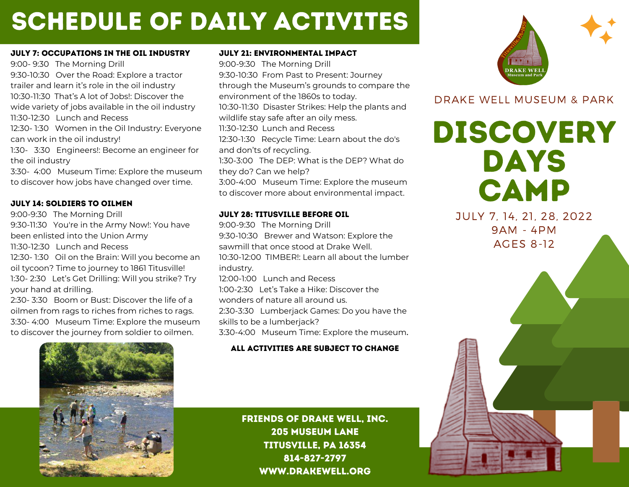# schedule of daily activites

#### July 7: Occupations in the Oil Industry

9:00- 9:30 The Morning Drill 9:30-10:30 Over the Road: Explore a tractor trailer and learn it's role in the oil industry 10:30-11:30 That's A lot of Jobs!: Discover the wide variety of jobs available in the oil industry 11:30-12:30 Lunch and Recess 12:30- 1:30 Women in the Oil Industry: Everyone can work in the oil industry! 1:30- 3:30 Engineers!: Become an engineer for the oil industry

3:30- 4:00 Museum Time: Explore the museum to discover how jobs have changed over time.

#### July 14: Soldiers to Oilmen

9:00-9:30 The Morning Drill

Typically participants leave 9:30-11:30 You're in the Army Now!: You have developed areas to spend been enlisted into the Union Army 11:30-12:30 Lunch and Recess

12:30-1:30 Oil on the Brain: Will you become an oil tycoon? Time to journey to 1861 Titusville! 1:30- 2:30 Let's Get Drilling: Will you strike? Try your hand at drilling.

2:30- 3:30 Boom or Bust: Discover the life of a oilmen from rags to riches from riches to rags. 3:30- 4:00 Museum Time: Explore the museum to discover the journey from soldier to oilmen.

#### July 21: Environmental Impact

9:00-9:30 The Morning Drill 9:30-10:30 From Past to Present: Journey through the Museum's grounds to compare the environment of the 1860s to today. 10:30-11:30 Disaster Strikes: Help the plants and wildlife stay safe after an oily mess. 11:30-12:30 Lunch and Recess 12:30-1:30 Recycle Time: Learn about the do's and don'ts of recycling. 1:30-3:00 The DEP: What is the DEP? What do they do? Can we help? 3:00-4:00 Museum Time: Explore the museum to discover more about environmental impact.

#### July 28: Titusville Before Oil

9:00-9:30 The Morning Drill 9:30-10:30 Brewer and Watson: Explore the sawmill that once stood at Drake Well. 10:30-12:00 TIMBER!: Learn all about the lumber industry. 12:00-1:00 Lunch and Recess 1:00-2:30 Let's Take a Hike: Discover the wonders of nature all around us. 2:30-3:30 Lumberjack Games: Do you have the skills to be a lumberjack? 3:30-4:00 Museum Time: Explore the museum.

### all activities Are subject to change



friends of drake well, inc. 205 museum lane titusville, pa 16354 814-827-2797 www.drakewell.org



## DRAKE WELL MUSEUM & PARK

DISCOVERY DAYS CAMP

JULY 7, 14, 21, 28, 2022 9AM - 4PM AGES 8-12